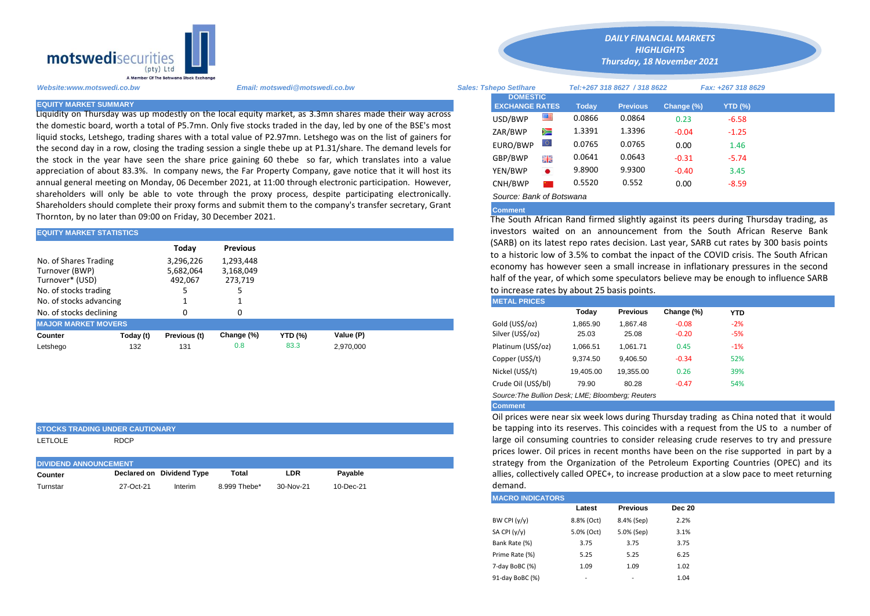

Liquidity on Thursday was up modestly on the local equity market, as 3.3mn shares made their way across the domestic board, worth a total of P5.7mn. Only five stocks traded in the day, led by one of the BSE's most liquid stocks, Letshego, trading shares with a total value of P2.97mn. Letshego was on the list of gainers for the second day in a row, closing the trading session a single thebe up at P1.31/share. The demand levels for the stock in the year have seen the share price gaining 60 thebe so far, which translates into a value appreciation of about 83.3%. In company news, the Far Property Company, gave notice that it will host its annual general meeting on Monday, 06 December 2021, at 11:00 through electronic participation. However, shareholders will only be able to vote through the proxy process, despite participating electronically. Shareholders should complete their proxy forms and submit them to the company's transfer secretary, Grant Thornton, by no later than 09:00 on Friday, 30 December 2021.

| <b>EQUITY MARKET STATISTICS</b>                            |                      |                      |                              | investors waited on an announcement from the South African |           |                                                                                                                     |                                                                                                                                                                                                                           |          |                 |            |            |  |  |
|------------------------------------------------------------|----------------------|----------------------|------------------------------|------------------------------------------------------------|-----------|---------------------------------------------------------------------------------------------------------------------|---------------------------------------------------------------------------------------------------------------------------------------------------------------------------------------------------------------------------|----------|-----------------|------------|------------|--|--|
| No. of Shares Trading                                      |                      | Today<br>3,296,226   | <b>Previous</b><br>1,293,448 |                                                            |           |                                                                                                                     | (SARB) on its latest repo rates decision. Last year, SARB cut rates by 3<br>to a historic low of 3.5% to combat the inpact of the COVID crisis. The<br>economy has however seen a small increase in inflationary pressure |          |                 |            |            |  |  |
| Turnover (BWP)<br>Turnover* (USD)<br>No. of stocks trading | 5,682,064<br>492.067 | 3,168,049<br>273.719 |                              |                                                            |           | half of the year, of which some speculators believe may be enough to<br>to increase rates by about 25 basis points. |                                                                                                                                                                                                                           |          |                 |            |            |  |  |
| No. of stocks advancing                                    |                      |                      |                              |                                                            |           |                                                                                                                     | <b>METAL PRICES</b>                                                                                                                                                                                                       |          |                 |            |            |  |  |
| No. of stocks declining                                    |                      |                      |                              |                                                            |           |                                                                                                                     |                                                                                                                                                                                                                           | Today    | <b>Previous</b> | Change (%) | <b>YTD</b> |  |  |
| <b>MAJOR MARKET MOVERS</b>                                 |                      |                      |                              |                                                            |           |                                                                                                                     | Gold (US\$/oz)                                                                                                                                                                                                            | 1.865.90 | 1.867.48        | $-0.08$    | $-2%$      |  |  |
| Counter                                                    | Today (t)            | Previous (t)         | Change (%)                   | <b>YTD (%)</b>                                             | Value (P) |                                                                                                                     | Silver (US\$/oz)                                                                                                                                                                                                          | 25.03    | 25.08           | $-0.20$    | $-5%$      |  |  |
| Letshego                                                   | 132                  | 131                  | 0.8                          | 83.3                                                       | 2,970,000 |                                                                                                                     | Platinum (US\$/oz)                                                                                                                                                                                                        | 1,066.51 | 1.061.71        | 0.45       | $-1%$      |  |  |

## **STOCKS TRADING UNDER CAUTIONARY**

LETLOLE RDCP

| <b>DIVIDEND ANNOUNCEMENT</b> |           |                           |              |           |               |  |  |  |
|------------------------------|-----------|---------------------------|--------------|-----------|---------------|--|--|--|
| Counter                      |           | Declared on Dividend Type | Total        | LDR       | Pavable       |  |  |  |
| Turnstar                     | 27-Oct-21 | Interim                   | 8.999 Thebe* | 30-Nov-21 | $10 - Dec-21$ |  |  |  |

*Website:www.motswedi.co.bw Email: motswedi@motswedi.co.bw Sales: Tshepo Setlhare Tel:+267 318 8627 / 318 8622 Fax: +267 318 8629*  **EQUITY MARKET SUMMARY Today Previous Change (%) YTD (%)**  $\text{USD/BWP}$   $\blacksquare$  0.0866 0.0864 0.23 -6.58 ZAR/BWP 1.3391 1.3396 -0.04 -1.25 EURO/BWP 0.0765 0.0765 0.00 1.46 GBP/BWP **ELE** 0.0641 0.0643 -0.31 -5.74 YEN/BWP 9.8900 9.9300 -0.40 3.45 CNH/BWP 0.5520 0.552 0.00 -8.59 *Source: Bank of Botswana*  **DOMESTIC EXCHANGE RATES**

*DAILY FINANCIAL MARKETS HIGHLIGHTS Thursday, 18 November 2021* 

## **Comment**

The South African Rand firmed slightly against its peers during Thursday trading, as investors waited on an announcement from the South African Reserve Bank (SARB) on its latest repo rates decision. Last year, SARB cut rates by 300 basis points to a historic low of 3.5% to combat the inpact of the COVID crisis. The South African economy has however seen a small increase in inflationary pressures in the second half of the year, of which some speculators believe may be enough to influence SARB to increase rates by about 25 basis points.<br>METAL PRICES

| <b>MEIALINVLY</b>                                 |           |                 |            |       |  |  |  |  |  |
|---------------------------------------------------|-----------|-----------------|------------|-------|--|--|--|--|--|
|                                                   | Today     | <b>Previous</b> | Change (%) | YTD   |  |  |  |  |  |
| Gold (US\$/oz)                                    | 1,865.90  | 1.867.48        | $-0.08$    | $-2%$ |  |  |  |  |  |
| Silver (US\$/oz)                                  | 25.03     | 25.08           | $-0.20$    | $-5%$ |  |  |  |  |  |
| Platinum (US\$/oz)                                | 1,066.51  | 1.061.71        | 0.45       | $-1%$ |  |  |  |  |  |
| Copper (US\$/t)                                   | 9.374.50  | 9.406.50        | $-0.34$    | 52%   |  |  |  |  |  |
| Nickel (US\$/t)                                   | 19.405.00 | 19.355.00       | 0.26       | 39%   |  |  |  |  |  |
| Crude Oil (US\$/bl)                               | 79.90     | 80.28           | $-0.47$    | 54%   |  |  |  |  |  |
| Source: The Bullion Desk: LME: Bloomberg: Reuters |           |                 |            |       |  |  |  |  |  |

## **Comment**

Oil prices were near six week lows during Thursday trading as China noted that it would be tapping into its reserves. This coincides with a request from the US to a number of large oil consuming countries to consider releasing crude reserves to try and pressure prices lower. Oil prices in recent months have been on the rise supported in part by a strategy from the Organization of the Petroleum Exporting Countries (OPEC) and its allies, collectively called OPEC+, to increase production at a slow pace to meet returning demand.

| <b>MACRO INDICATORS</b> |                          |                 |               |  |  |  |  |  |  |
|-------------------------|--------------------------|-----------------|---------------|--|--|--|--|--|--|
|                         | Latest                   | <b>Previous</b> | <b>Dec 20</b> |  |  |  |  |  |  |
| BW CPI $(y/y)$          | 8.8% (Oct)               | 8.4% (Sep)      | 2.2%          |  |  |  |  |  |  |
| SA CPI (y/y)            | 5.0% (Oct)               | 5.0% (Sep)      | 3.1%          |  |  |  |  |  |  |
| Bank Rate (%)           | 3.75                     | 3.75            | 3.75          |  |  |  |  |  |  |
| Prime Rate (%)          | 5.25                     | 5.25            | 6.25          |  |  |  |  |  |  |
| 7-day BoBC (%)          | 1.09                     | 1.09            | 1.02          |  |  |  |  |  |  |
| 91-day BoBC (%)         | $\overline{\phantom{a}}$ | ٠               | 1.04          |  |  |  |  |  |  |